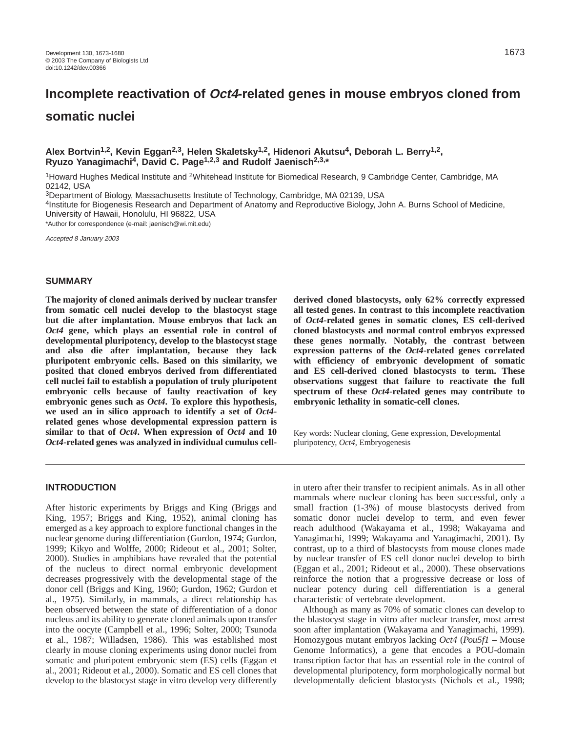# **Incomplete reactivation of Oct4-related genes in mouse embryos cloned from somatic nuclei**

# **Alex Bortvin1,2, Kevin Eggan2,3, Helen Skaletsky1,2, Hidenori Akutsu4, Deborah L. Berry1,2, Ryuzo Yanagimachi4, David C. Page1,2,3 and Rudolf Jaenisch2,3,\***

1Howard Hughes Medical Institute and 2Whitehead Institute for Biomedical Research, 9 Cambridge Center, Cambridge, MA 02142, USA

3Department of Biology, Massachusetts Institute of Technology, Cambridge, MA 02139, USA

4Institute for Biogenesis Research and Department of Anatomy and Reproductive Biology, John A. Burns School of Medicine, University of Hawaii, Honolulu, HI 96822, USA

\*Author for correspondence (e-mail: jaenisch@wi.mit.edu)

Accepted 8 January 2003

## **SUMMARY**

**The majority of cloned animals derived by nuclear transfer from somatic cell nuclei develop to the blastocyst stage but die after implantation. Mouse embryos that lack an** *Oct4* **gene, which plays an essential role in control of developmental pluripotency, develop to the blastocyst stage and also die after implantation, because they lack pluripotent embryonic cells. Based on this similarity, we posited that cloned embryos derived from differentiated cell nuclei fail to establish a population of truly pluripotent embryonic cells because of faulty reactivation of key embryonic genes such as** *Oct4***. To explore this hypothesis, we used an in silico approach to identify a set of** *Oct4* **related genes whose developmental expression pattern is similar to that of** *Oct4***. When expression of** *Oct4* **and 10** *Oct4***-related genes was analyzed in individual cumulus cell-** **derived cloned blastocysts, only 62% correctly expressed all tested genes. In contrast to this incomplete reactivation of** *Oct4***-related genes in somatic clones, ES cell-derived cloned blastocysts and normal control embryos expressed these genes normally. Notably, the contrast between expression patterns of the** *Oct4***-related genes correlated with efficiency of embryonic development of somatic and ES cell-derived cloned blastocysts to term. These observations suggest that failure to reactivate the full spectrum of these** *Oct4***-related genes may contribute to embryonic lethality in somatic-cell clones.** 

Key words: Nuclear cloning, Gene expression, Developmental pluripotency, *Oct4*, Embryogenesis

#### **INTRODUCTION**

After historic experiments by Briggs and King (Briggs and King, 1957; Briggs and King, 1952), animal cloning has emerged as a key approach to explore functional changes in the nuclear genome during differentiation (Gurdon, 1974; Gurdon, 1999; Kikyo and Wolffe, 2000; Rideout et al., 2001; Solter, 2000). Studies in amphibians have revealed that the potential of the nucleus to direct normal embryonic development decreases progressively with the developmental stage of the donor cell (Briggs and King, 1960; Gurdon, 1962; Gurdon et al., 1975). Similarly, in mammals, a direct relationship has been observed between the state of differentiation of a donor nucleus and its ability to generate cloned animals upon transfer into the oocyte (Campbell et al., 1996; Solter, 2000; Tsunoda et al., 1987; Willadsen, 1986). This was established most clearly in mouse cloning experiments using donor nuclei from somatic and pluripotent embryonic stem (ES) cells (Eggan et al., 2001; Rideout et al., 2000). Somatic and ES cell clones that develop to the blastocyst stage in vitro develop very differently

in utero after their transfer to recipient animals. As in all other mammals where nuclear cloning has been successful, only a small fraction (1-3%) of mouse blastocysts derived from somatic donor nuclei develop to term, and even fewer reach adulthood (Wakayama et al., 1998; Wakayama and Yanagimachi, 1999; Wakayama and Yanagimachi, 2001). By contrast, up to a third of blastocysts from mouse clones made by nuclear transfer of ES cell donor nuclei develop to birth (Eggan et al., 2001; Rideout et al., 2000). These observations reinforce the notion that a progressive decrease or loss of nuclear potency during cell differentiation is a general characteristic of vertebrate development.

Although as many as 70% of somatic clones can develop to the blastocyst stage in vitro after nuclear transfer, most arrest soon after implantation (Wakayama and Yanagimachi, 1999). Homozygous mutant embryos lacking *Oct4* (*Pou5f1* – Mouse Genome Informatics), a gene that encodes a POU-domain transcription factor that has an essential role in the control of developmental pluripotency, form morphologically normal but developmentally deficient blastocysts (Nichols et al., 1998;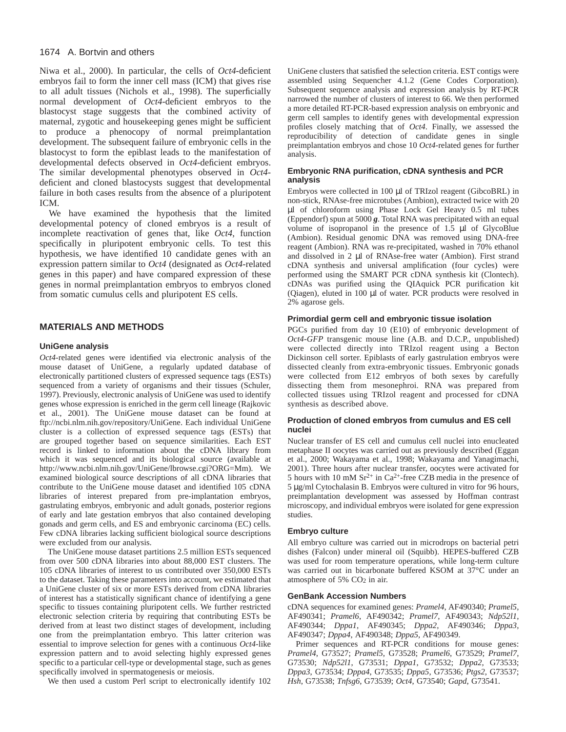### 1674 A. Bortvin and others

Niwa et al., 2000). In particular*,* the cells of *Oct4*-deficient embryos fail to form the inner cell mass (ICM) that gives rise to all adult tissues (Nichols et al., 1998). The superficially normal development of *Oct4*-deficient embryos to the blastocyst stage suggests that the combined activity of maternal, zygotic and housekeeping genes might be sufficient to produce a phenocopy of normal preimplantation development. The subsequent failure of embryonic cells in the blastocyst to form the epiblast leads to the manifestation of developmental defects observed in *Oct4*-deficient embryos. The similar developmental phenotypes observed in *Oct4* deficient and cloned blastocysts suggest that developmental failure in both cases results from the absence of a pluripotent ICM.

We have examined the hypothesis that the limited developmental potency of cloned embryos is a result of incomplete reactivation of genes that, like *Oct4*, function specifically in pluripotent embryonic cells. To test this hypothesis, we have identified 10 candidate genes with an expression pattern similar to *Oct4* (designated as *Oct4*-related genes in this paper) and have compared expression of these genes in normal preimplantation embryos to embryos cloned from somatic cumulus cells and pluripotent ES cells.

## **MATERIALS AND METHODS**

#### **UniGene analysis**

*Oct4*-related genes were identified via electronic analysis of the mouse dataset of UniGene, a regularly updated database of electronically partitioned clusters of expressed sequence tags (ESTs) sequenced from a variety of organisms and their tissues (Schuler, 1997). Previously, electronic analysis of UniGene was used to identify genes whose expression is enriched in the germ cell lineage (Rajkovic et al., 2001). The UniGene mouse dataset can be found at ftp://ncbi.nlm.nih.gov/repository/UniGene. Each individual UniGene cluster is a collection of expressed sequence tags (ESTs) that are grouped together based on sequence similarities. Each EST record is linked to information about the cDNA library from which it was sequenced and its biological source (available at http://www.ncbi.nlm.nih.gov/UniGene/lbrowse.cgi?ORG=Mm). We examined biological source descriptions of all cDNA libraries that contribute to the UniGene mouse dataset and identified 105 cDNA libraries of interest prepared from pre-implantation embryos, gastrulating embryos, embryonic and adult gonads, posterior regions of early and late gestation embryos that also contained developing gonads and germ cells, and ES and embryonic carcinoma (EC) cells. Few cDNA libraries lacking sufficient biological source descriptions were excluded from our analysis.

The UniGene mouse dataset partitions 2.5 million ESTs sequenced from over 500 cDNA libraries into about 88,000 EST clusters. The 105 cDNA libraries of interest to us contributed over 350,000 ESTs to the dataset. Taking these parameters into account, we estimated that a UniGene cluster of six or more ESTs derived from cDNA libraries of interest has a statistically significant chance of identifying a gene specific to tissues containing pluripotent cells. We further restricted electronic selection criteria by requiring that contributing ESTs be derived from at least two distinct stages of development, including one from the preimplantation embryo. This latter criterion was essential to improve selection for genes with a continuous *Oct4*-like expression pattern and to avoid selecting highly expressed genes specific to a particular cell-type or developmental stage, such as genes specifically involved in spermatogenesis or meiosis.

We then used a custom Perl script to electronically identify 102

UniGene clusters that satisfied the selection criteria. EST contigs were assembled using Sequencher 4.1.2 (Gene Codes Corporation). Subsequent sequence analysis and expression analysis by RT-PCR narrowed the number of clusters of interest to 66. We then performed a more detailed RT-PCR-based expression analysis on embryonic and germ cell samples to identify genes with developmental expression profiles closely matching that of *Oct4*. Finally, we assessed the reproducibility of detection of candidate genes in single preimplantation embryos and chose 10 *Oct4-*related genes for further analysis.

#### **Embryonic RNA purification, cDNA synthesis and PCR analysis**

Embryos were collected in 100 µl of TRIzol reagent (GibcoBRL) in non-stick, RNAse-free microtubes (Ambion), extracted twice with 20 µl of chloroform using Phase Lock Gel Heavy 0.5 ml tubes (Eppendorf) spun at 5000 *g*. Total RNA was precipitated with an equal volume of isopropanol in the presence of 1.5 µl of GlycoBlue (Ambion). Residual genomic DNA was removed using DNA-free reagent (Ambion). RNA was re-precipitated, washed in 70% ethanol and dissolved in 2 µl of RNAse-free water (Ambion). First strand cDNA synthesis and universal amplification (four cycles) were performed using the SMART PCR cDNA synthesis kit (Clontech). cDNAs was purified using the QIAquick PCR purification kit (Qiagen), eluted in 100 µl of water. PCR products were resolved in 2% agarose gels.

### **Primordial germ cell and embryonic tissue isolation**

PGCs purified from day 10 (E10) of embryonic development of *Oct4-GFP* transgenic mouse line (A.B. and D.C.P., unpublished) were collected directly into TRIzol reagent using a Becton Dickinson cell sorter. Epiblasts of early gastrulation embryos were dissected cleanly from extra-embryonic tissues. Embryonic gonads were collected from E12 embryos of both sexes by carefully dissecting them from mesonephroi. RNA was prepared from collected tissues using TRIzol reagent and processed for cDNA synthesis as described above.

#### **Production of cloned embryos from cumulus and ES cell nuclei**

Nuclear transfer of ES cell and cumulus cell nuclei into enucleated metaphase II oocytes was carried out as previously described (Eggan et al., 2000; Wakayama et al., 1998; Wakayama and Yanagimachi, 2001). Three hours after nuclear transfer, oocytes were activated for 5 hours with 10 mM  $Sr^{2+}$  in Ca<sup>2+</sup>-free CZB media in the presence of 5 µg/ml Cytochalasin B. Embryos were cultured in vitro for 96 hours, preimplantation development was assessed by Hoffman contrast microscopy, and individual embryos were isolated for gene expression studies.

#### **Embryo culture**

All embryo culture was carried out in microdrops on bacterial petri dishes (Falcon) under mineral oil (Squibb). HEPES-buffered CZB was used for room temperature operations, while long-term culture was carried out in bicarbonate buffered KSOM at 37°C under an atmosphere of 5% CO2 in air.

## **GenBank Accession Numbers**

cDNA sequences for examined genes: *Pramel4*, AF490340; *Pramel5*, AF490341; *Pramel6*, AF490342; *Pramel7*, AF490343; *Ndp52l1*, AF490344; *Dppa1*, AF490345; *Dppa2*, AF490346; *Dppa3*, AF490347; *Dppa4*, AF490348; *Dppa5*, AF490349.

Primer sequences and RT-PCR conditions for mouse genes: *Pramel4*, G73527; *Pramel5*, G73528; *Pramel6*, G73529; *Pramel7*, G73530; *Ndp52l1*, G73531; *Dppa1*, G73532; *Dppa2*, G73533; *Dppa3*, G73534; *Dppa4*, G73535; *Dppa5*, G73536; *Ptgs2*, G73537; *Hsh*, G73538; *Tnfsg6*, G73539; *Oct4*, G73540; *Gapd*, G73541.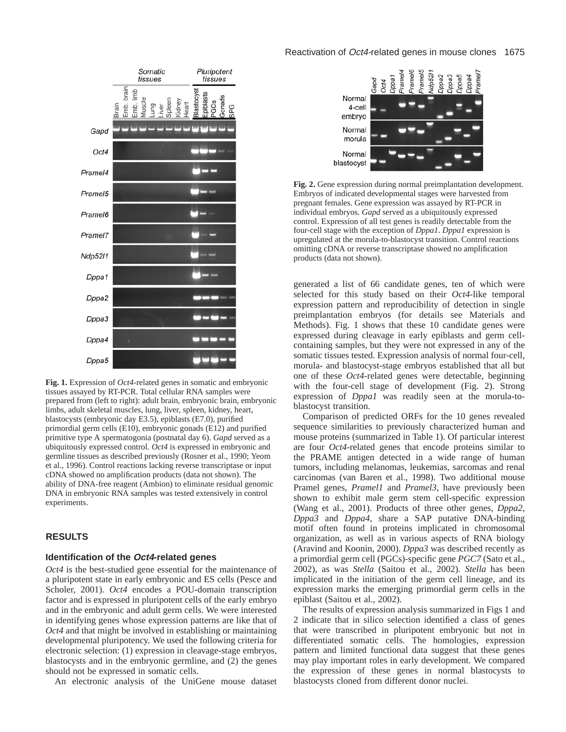

**Fig. 1.** Expression of *Oct4*-related genes in somatic and embryonic tissues assayed by RT-PCR. Total cellular RNA samples were prepared from (left to right): adult brain, embryonic brain, embryonic limbs, adult skeletal muscles, lung, liver, spleen, kidney, heart, blastocysts (embryonic day E3.5), epiblasts (E7.0), purified primordial germ cells (E10), embryonic gonads (E12) and purified primitive type A spermatogonia (postnatal day 6). *Gapd* served as a ubiquitously expressed control. *Oct4* is expressed in embryonic and germline tissues as described previously (Rosner et al., 1990; Yeom et al., 1996). Control reactions lacking reverse transcriptase or input cDNA showed no amplification products (data not shown). The ability of DNA-free reagent (Ambion) to eliminate residual genomic DNA in embryonic RNA samples was tested extensively in control experiments.

## **RESULTS**

#### **Identification of the Oct4-related genes**

*Oct4* is the best-studied gene essential for the maintenance of a pluripotent state in early embryonic and ES cells (Pesce and Scholer, 2001). *Oct4* encodes a POU-domain transcription factor and is expressed in pluripotent cells of the early embryo and in the embryonic and adult germ cells. We were interested in identifying genes whose expression patterns are like that of *Oct4* and that might be involved in establishing or maintaining developmental pluripotency. We used the following criteria for electronic selection: (1) expression in cleavage-stage embryos, blastocysts and in the embryonic germline, and (2) the genes should not be expressed in somatic cells.

An electronic analysis of the UniGene mouse dataset

## Reactivation of Oct4-related genes in mouse clones 1675



**Fig. 2.** Gene expression during normal preimplantation development. Embryos of indicated developmental stages were harvested from pregnant females. Gene expression was assayed by RT-PCR in individual embryos. *Gapd* served as a ubiquitously expressed control. Expression of all test genes is readily detectable from the four-cell stage with the exception of *Dppa1*. *Dppa1* expression is upregulated at the morula-to-blastocyst transition. Control reactions omitting cDNA or reverse transcriptase showed no amplification products (data not shown).

generated a list of 66 candidate genes, ten of which were selected for this study based on their *Oct4*-like temporal expression pattern and reproducibility of detection in single preimplantation embryos (for details see Materials and Methods). Fig. 1 shows that these 10 candidate genes were expressed during cleavage in early epiblasts and germ cellcontaining samples, but they were not expressed in any of the somatic tissues tested. Expression analysis of normal four-cell, morula- and blastocyst-stage embryos established that all but one of these *Oct4*-related genes were detectable, beginning with the four-cell stage of development (Fig. 2). Strong expression of *Dppa1* was readily seen at the morula-toblastocyst transition.

Comparison of predicted ORFs for the 10 genes revealed sequence similarities to previously characterized human and mouse proteins (summarized in Table 1). Of particular interest are four *Oct4*-related genes that encode proteins similar to the PRAME antigen detected in a wide range of human tumors, including melanomas, leukemias, sarcomas and renal carcinomas (van Baren et al., 1998). Two additional mouse Pramel genes, *Pramel1* and *Pramel3*, have previously been shown to exhibit male germ stem cell-specific expression (Wang et al., 2001). Products of three other genes, *Dppa2*, *Dppa3* and *Dppa4*, share a SAP putative DNA-binding motif often found in proteins implicated in chromosomal organization, as well as in various aspects of RNA biology (Aravind and Koonin, 2000). *Dppa3* was described recently as a primordial germ cell (PGCs)-specific gene *PGC7* (Sato et al., 2002), as was *Stella* (Saitou et al., 2002). *Stella* has been implicated in the initiation of the germ cell lineage, and its expression marks the emerging primordial germ cells in the epiblast (Saitou et al., 2002).

The results of expression analysis summarized in Figs 1 and 2 indicate that in silico selection identified a class of genes that were transcribed in pluripotent embryonic but not in differentiated somatic cells. The homologies, expression pattern and limited functional data suggest that these genes may play important roles in early development. We compared the expression of these genes in normal blastocysts to blastocysts cloned from different donor nuclei.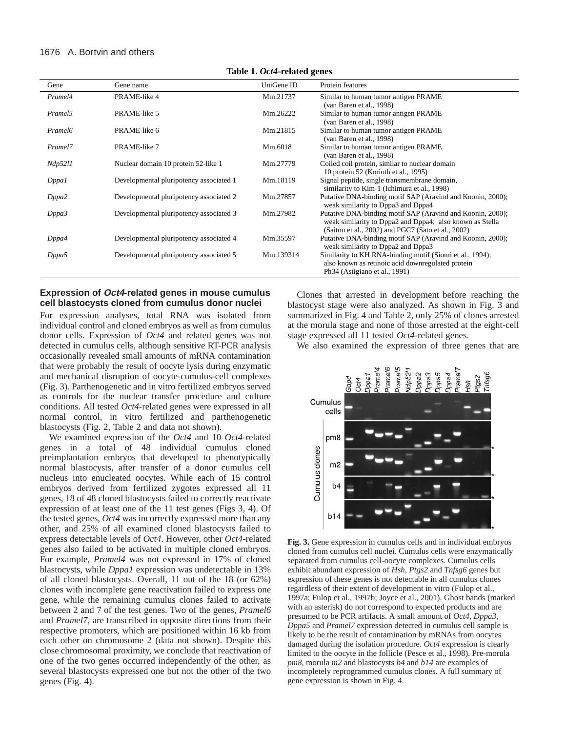#### 1676 A. Bortvin and others

| Table 1. Ott+-Telated genes |                                         |            |                                                                                                                                                                              |  |  |
|-----------------------------|-----------------------------------------|------------|------------------------------------------------------------------------------------------------------------------------------------------------------------------------------|--|--|
| Gene                        | Gene name                               | UniGene ID | Protein features                                                                                                                                                             |  |  |
| Pramel4                     | PRAME-like 4                            | Mm.21737   | Similar to human tumor antigen PRAME<br>(van Baren et al., 1998)                                                                                                             |  |  |
| Pramel <sub>5</sub>         | PRAME-like 5                            | Mm.26222   | Similar to human tumor antigen PRAME<br>(van Baren et al., 1998)                                                                                                             |  |  |
| Pramel <sub>6</sub>         | PRAME-like 6                            | Mm.21815   | Similar to human tumor antigen PRAME<br>(van Baren et al., 1998)                                                                                                             |  |  |
| Pramel7                     | PRAME-like 7                            | Mm.6018    | Similar to human tumor antigen PRAME<br>(van Baren et al., 1998)                                                                                                             |  |  |
| <i>Ndp5211</i>              | Nuclear domain 10 protein 52-like 1     | Mm.27779   | Coiled coil protein, similar to nuclear domain<br>10 protein 52 (Korioth et al., 1995)                                                                                       |  |  |
| D <sub>ppal</sub>           | Developmental pluripotency associated 1 | Mm.18119   | Signal peptide, single transmembrane domain,<br>similarity to Kim-1 (Ichimura et al., 1998)                                                                                  |  |  |
| Dppa2                       | Developmental pluripotency associated 2 | Mm.27857   | Putative DNA-binding motif SAP (Aravind and Koonin, 2000);<br>weak similarity to Dppa3 and Dppa4                                                                             |  |  |
| Dppa3                       | Developmental pluripotency associated 3 | Mm.27982   | Putative DNA-binding motif SAP (Aravind and Koonin, 2000);<br>weak similarity to Dppa2 and Dppa4; also known as Stella<br>(Saitou et al., 2002) and PGC7 (Sato et al., 2002) |  |  |
| Dppa4                       | Developmental pluripotency associated 4 | Mm.35597   | Putative DNA-binding motif SAP (Aravind and Koonin, 2000);<br>weak similarity to Dppa2 and Dppa3                                                                             |  |  |
| Dppa5                       | Developmental pluripotency associated 5 | Mm.139314  | Similarity to KH RNA-binding motif (Siomi et al., 1994);<br>also known as retinoic acid downregulated protein<br>Ph <sub>34</sub> (Astigiano et al., 1991)                   |  |  |

**Table 1.** *Oct4***-related genes**

# **Expression of Oct4-related genes in mouse cumulus cell blastocysts cloned from cumulus donor nuclei**

For expression analyses, total RNA was isolated from individual control and cloned embryos as well as from cumulus donor cells. Expression of *Oct4* and related genes was not detected in cumulus cells, although sensitive RT-PCR analysis occasionally revealed small amounts of mRNA contamination that were probably the result of oocyte lysis during enzymatic and mechanical disruption of oocyte-cumulus-cell complexes (Fig. 3). Parthenogenetic and in vitro fertilized embryos served as controls for the nuclear transfer procedure and culture conditions. All tested *Oct4*-related genes were expressed in all normal control, in vitro fertilized and parthenogenetic blastocysts (Fig. 2, Table 2 and data not shown).

We examined expression of the *Oct4* and 10 *Oct4*-related genes in a total of 48 individual cumulus cloned preimplantation embryos that developed to phenotypically normal blastocysts, after transfer of a donor cumulus cell nucleus into enucleated oocytes. While each of 15 control embryos derived from fertilized zygotes expressed all 11 genes, 18 of 48 cloned blastocysts failed to correctly reactivate expression of at least one of the 11 test genes (Figs 3, 4). Of the tested genes, *Oct4* was incorrectly expressed more than any other, and 25% of all examined cloned blastocysts failed to express detectable levels of *Oct4*. However, other *Oct4*-related genes also failed to be activated in multiple cloned embryos. For example, *Pramel4* was not expressed in 17% of cloned blastocysts, while *Dppa1* expression was undetectable in 13% of all cloned blastocysts. Overall, 11 out of the 18 (or 62%) clones with incomplete gene reactivation failed to express one gene, while the remaining cumulus clones failed to activate between 2 and 7 of the test genes. Two of the genes, *Pramel6* and *Pramel7*, are transcribed in opposite directions from their respective promoters, which are positioned within 16 kb from each other on chromosome 2 (data not shown). Despite this close chromosomal proximity, we conclude that reactivation of one of the two genes occurred independently of the other, as several blastocysts expressed one but not the other of the two genes (Fig. 4).

Clones that arrested in development before reaching the blastocyst stage were also analyzed. As shown in Fig. 3 and summarized in Fig. 4 and Table 2, only 25% of clones arrested at the morula stage and none of those arrested at the eight-cell stage expressed all 11 tested *Oct4-*related genes.

We also examined the expression of three genes that are



**Fig. 3.** Gene expression in cumulus cells and in individual embryos cloned from cumulus cell nuclei. Cumulus cells were enzymatically separated from cumulus cell-oocyte complexes. Cumulus cells exhibit abundant expression of *Hsh*, *Ptgs2* and *Tnfsg6* genes but expression of these genes is not detectable in all cumulus clones regardless of their extent of development in vitro (Fulop et al., 1997a; Fulop et al., 1997b; Joyce et al., 2001). Ghost bands (marked with an asterisk) do not correspond to expected products and are presumed to be PCR artifacts. A small amount of *Oct4*, *Dppa3*, *Dppa5* and *Pramel7* expression detected in cumulus cell sample is likely to be the result of contamination by mRNAs from oocytes damaged during the isolation procedure. *Oct4* expression is clearly limited to the oocyte in the follicle (Pesce et al., 1998). Pre-morula *pm8*, morula *m2* and blastocysts *b4* and *b14* are examples of incompletely reprogrammed cumulus clones. A full summary of gene expression is shown in Fig. 4.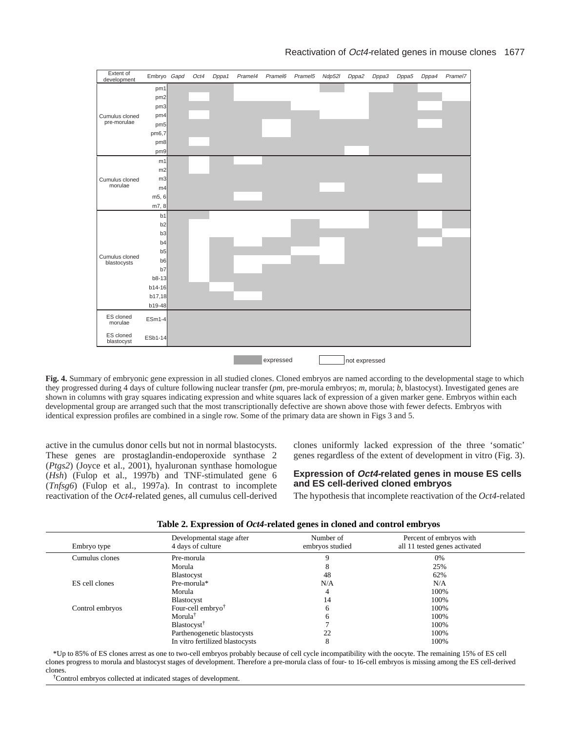

**Fig. 4.** Summary of embryonic gene expression in all studied clones. Cloned embryos are named according to the developmental stage to which they progressed during 4 days of culture following nuclear transfer (*pm*, pre-morula embryos; *m*, morula; *b*, blastocyst). Investigated genes are shown in columns with gray squares indicating expression and white squares lack of expression of a given marker gene. Embryos within each developmental group are arranged such that the most transcriptionally defective are shown above those with fewer defects. Embryos with identical expression profiles are combined in a single row. Some of the primary data are shown in Figs 3 and 5.

active in the cumulus donor cells but not in normal blastocysts. These genes are prostaglandin-endoperoxide synthase 2 (*Ptgs2*) (Joyce et al., 2001), hyaluronan synthase homologue (*Hsh*) (Fulop et al., 1997b) and TNF-stimulated gene 6 (*Tnfsg6*) (Fulop et al., 1997a). In contrast to incomplete reactivation of the *Oct4*-related genes, all cumulus cell-derived clones uniformly lacked expression of the three 'somatic' genes regardless of the extent of development in vitro (Fig. 3).

# **Expression of Oct4-related genes in mouse ES cells and ES cell-derived cloned embryos**

The hypothesis that incomplete reactivation of the *Oct4-*related

|                 |                                                | ີ                            |                                                          |  |
|-----------------|------------------------------------------------|------------------------------|----------------------------------------------------------|--|
| Embryo type     | Developmental stage after<br>4 days of culture | Number of<br>embryos studied | Percent of embryos with<br>all 11 tested genes activated |  |
| Cumulus clones  | Pre-morula                                     |                              | 0%                                                       |  |
|                 | Morula                                         |                              | 25%                                                      |  |
|                 | Blastocyst                                     | 48                           | 62%                                                      |  |
| ES cell clones  | Pre-morula*                                    | N/A                          | N/A                                                      |  |
|                 | Morula                                         |                              | 100%                                                     |  |
|                 | Blastocyst                                     | 14                           | 100%                                                     |  |
| Control embryos | Four-cell embryo <sup>†</sup>                  | h                            | 100%                                                     |  |
|                 | Morula <sup>†</sup>                            |                              | 100%                                                     |  |
|                 | Blastocyst <sup>†</sup>                        |                              | 100%                                                     |  |
|                 | Parthenogenetic blastocysts                    | 22                           | 100%                                                     |  |
|                 | In vitro fertilized blastocysts                |                              | 100%                                                     |  |

#### **Table 2. Expression of** *Oct4***-related genes in cloned and control embryos**

\*Up to 85% of ES clones arrest as one to two-cell embryos probably because of cell cycle incompatibility with the oocyte. The remaining 15% of ES cell clones progress to morula and blastocyst stages of development. Therefore a pre-morula class of four- to 16-cell embryos is missing among the ES cell-derived clones.

†Control embryos collected at indicated stages of development.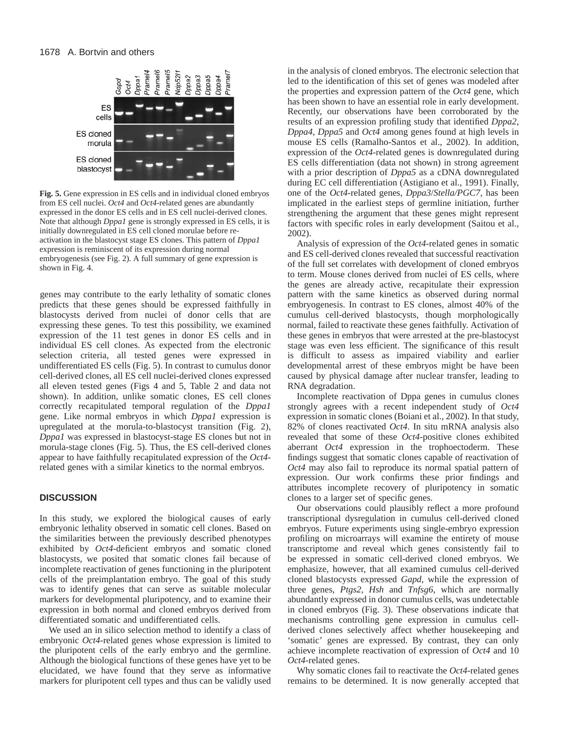

**Fig. 5.** Gene expression in ES cells and in individual cloned embryos from ES cell nuclei. *Oct4* and *Oct4*-related genes are abundantly expressed in the donor ES cells and in ES cell nuclei-derived clones. Note that although *Dppa1* gene is strongly expressed in ES cells, it is initially downregulated in ES cell cloned morulae before reactivation in the blastocyst stage ES clones. This pattern of *Dppa1* expression is reminiscent of its expression during normal embryogenesis (see Fig. 2). A full summary of gene expression is shown in Fig. 4.

genes may contribute to the early lethality of somatic clones predicts that these genes should be expressed faithfully in blastocysts derived from nuclei of donor cells that are expressing these genes. To test this possibility, we examined expression of the 11 test genes in donor ES cells and in individual ES cell clones. As expected from the electronic selection criteria, all tested genes were expressed in undifferentiated ES cells (Fig. 5). In contrast to cumulus donor cell-derived clones, all ES cell nuclei-derived clones expressed all eleven tested genes (Figs 4 and 5, Table 2 and data not shown). In addition, unlike somatic clones, ES cell clones correctly recapitulated temporal regulation of the *Dppa1* gene. Like normal embryos in which *Dppa1* expression is upregulated at the morula-to-blastocyst transition (Fig. 2), *Dppa1* was expressed in blastocyst-stage ES clones but not in morula-stage clones (Fig. 5). Thus, the ES cell-derived clones appear to have faithfully recapitulated expression of the *Oct4* related genes with a similar kinetics to the normal embryos.

# **DISCUSSION**

In this study, we explored the biological causes of early embryonic lethality observed in somatic cell clones. Based on the similarities between the previously described phenotypes exhibited by *Oct4*-deficient embryos and somatic cloned blastocysts, we posited that somatic clones fail because of incomplete reactivation of genes functioning in the pluripotent cells of the preimplantation embryo. The goal of this study was to identify genes that can serve as suitable molecular markers for developmental pluripotency, and to examine their expression in both normal and cloned embryos derived from differentiated somatic and undifferentiated cells.

We used an in silico selection method to identify a class of embryonic *Oct4*-related genes whose expression is limited to the pluripotent cells of the early embryo and the germline. Although the biological functions of these genes have yet to be elucidated, we have found that they serve as informative markers for pluripotent cell types and thus can be validly used

in the analysis of cloned embryos. The electronic selection that led to the identification of this set of genes was modeled after the properties and expression pattern of the *Oct4* gene, which has been shown to have an essential role in early development. Recently, our observations have been corroborated by the results of an expression profiling study that identified *Dppa2*, *Dppa4*, *Dppa5* and *Oct4* among genes found at high levels in mouse ES cells (Ramalho-Santos et al., 2002). In addition, expression of the *Oct4*-related genes is downregulated during ES cells differentiation (data not shown) in strong agreement with a prior description of *Dppa5* as a cDNA downregulated during EC cell differentiation (Astigiano et al., 1991). Finally, one of the *Oct4*-related genes, *Dppa3*/*Stella/PGC7*, has been implicated in the earliest steps of germline initiation, further strengthening the argument that these genes might represent factors with specific roles in early development (Saitou et al., 2002).

Analysis of expression of the *Oct4*-related genes in somatic and ES cell-derived clones revealed that successful reactivation of the full set correlates with development of cloned embryos to term. Mouse clones derived from nuclei of ES cells, where the genes are already active, recapitulate their expression pattern with the same kinetics as observed during normal embryogenesis. In contrast to ES clones, almost 40% of the cumulus cell-derived blastocysts, though morphologically normal, failed to reactivate these genes faithfully. Activation of these genes in embryos that were arrested at the pre-blastocyst stage was even less efficient. The significance of this result is difficult to assess as impaired viability and earlier developmental arrest of these embryos might be have been caused by physical damage after nuclear transfer, leading to RNA degradation.

Incomplete reactivation of Dppa genes in cumulus clones strongly agrees with a recent independent study of *Oct4* expression in somatic clones (Boiani et al., 2002). In that study, 82% of clones reactivated *Oct4*. In situ mRNA analysis also revealed that some of these *Oct4*-positive clones exhibited aberrant *Oct4* expression in the trophoectoderm. These findings suggest that somatic clones capable of reactivation of *Oct4* may also fail to reproduce its normal spatial pattern of expression. Our work confirms these prior findings and attributes incomplete recovery of pluripotency in somatic clones to a larger set of specific genes.

Our observations could plausibly reflect a more profound transcriptional dysregulation in cumulus cell-derived cloned embryos. Future experiments using single-embryo expression profiling on microarrays will examine the entirety of mouse transcriptome and reveal which genes consistently fail to be expressed in somatic cell-derived cloned embryos. We emphasize, however, that all examined cumulus cell-derived cloned blastocysts expressed *Gapd*, while the expression of three genes, *Ptgs2*, *Hsh* and *Tnfsg6*, which are normally abundantly expressed in donor cumulus cells, was undetectable in cloned embryos (Fig. 3). These observations indicate that mechanisms controlling gene expression in cumulus cellderived clones selectively affect whether housekeeping and 'somatic' genes are expressed. By contrast, they can only achieve incomplete reactivation of expression of *Oct4* and 10 *Oct4*-related genes.

Why somatic clones fail to reactivate the *Oct4*-related genes remains to be determined. It is now generally accepted that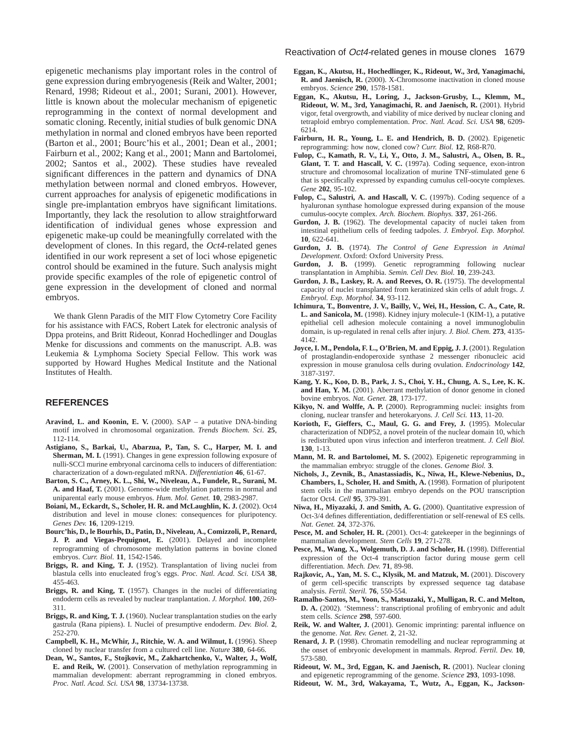epigenetic mechanisms play important roles in the control of gene expression during embryogenesis (Reik and Walter, 2001; Renard, 1998; Rideout et al., 2001; Surani, 2001). However, little is known about the molecular mechanism of epigenetic reprogramming in the context of normal development and somatic cloning. Recently, initial studies of bulk genomic DNA methylation in normal and cloned embryos have been reported (Barton et al., 2001; Bourc'his et al., 2001; Dean et al., 2001; Fairburn et al., 2002; Kang et al., 2001; Mann and Bartolomei, 2002; Santos et al., 2002). These studies have revealed significant differences in the pattern and dynamics of DNA methylation between normal and cloned embryos. However, current approaches for analysis of epigenetic modifications in single pre-implantation embryos have significant limitations. Importantly, they lack the resolution to allow straightforward identification of individual genes whose expression and epigenetic make-up could be meaningfully correlated with the development of clones. In this regard, the *Oct4*-related genes identified in our work represent a set of loci whose epigenetic control should be examined in the future. Such analysis might provide specific examples of the role of epigenetic control of gene expression in the development of cloned and normal embryos.

We thank Glenn Paradis of the MIT Flow Cytometry Core Facility for his assistance with FACS, Robert Latek for electronic analysis of Dppa proteins, and Britt Rideout, Konrad Hochedlinger and Douglas Menke for discussions and comments on the manuscript. A.B. was Leukemia & Lymphoma Society Special Fellow. This work was supported by Howard Hughes Medical Institute and the National Institutes of Health.

## **REFERENCES**

- Aravind, L. and Koonin, E. V. (2000). SAP a putative DNA-binding motif involved in chromosomal organization. *Trends Biochem. Sci.* **25**, 112-114.
- **Astigiano, S., Barkai, U., Abarzua, P., Tan, S. C., Harper, M. I. and Sherman, M. I.** (1991). Changes in gene expression following exposure of nulli-SCCl murine embryonal carcinoma cells to inducers of differentiation: characterization of a down-regulated mRNA. *Differentiation* **46**, 61-67.
- **Barton, S. C., Arney, K. L., Shi, W., Niveleau, A., Fundele, R., Surani, M. A. and Haaf, T.** (2001). Genome-wide methylation patterns in normal and uniparental early mouse embryos. *Hum. Mol. Genet.* **10**, 2983-2987.
- **Boiani, M., Eckardt, S., Scholer, H. R. and McLaughlin, K. J.** (2002). Oct4 distribution and level in mouse clones: consequences for pluripotency. *Genes Dev.* **16**, 1209-1219.
- **Bourc'his, D., le Bourhis, D., Patin, D., Niveleau, A., Comizzoli, P., Renard, J. P. and Viegas-Pequignot, E.** (2001). Delayed and incomplete reprogramming of chromosome methylation patterns in bovine cloned embryos. *Curr. Biol.* **11**, 1542-1546.
- **Briggs, R. and King, T. J.** (1952). Transplantation of living nuclei from blastula cells into enucleated frog's eggs. *Proc. Natl. Acad. Sci. USA* **38**, 455-463.
- **Briggs, R. and King, T.** (1957). Changes in the nuclei of differentiating endoderm cells as revealed by nuclear tranplantation. *J. Morphol.* **100**, 269- 311.
- **Briggs, R. and King, T. J.** (1960). Nuclear transplantation studies on the early gastrula (Rana pipiens). I. Nuclei of presumptive endoderm. *Dev. Biol.* **2**, 252-270.
- **Campbell, K. H., McWhir, J., Ritchie, W. A. and Wilmut, I.** (1996). Sheep cloned by nuclear transfer from a cultured cell line. *Nature* **380**, 64-66.
- **Dean, W., Santos, F., Stojkovic, M., Zakhartchenko, V., Walter, J., Wolf, E. and Reik, W.** (2001). Conservation of methylation reprogramming in mammalian development: aberrant reprogramming in cloned embryos. *Proc. Natl. Acad. Sci. USA* **98**, 13734-13738.
- **Eggan, K., Akutsu, H., Hochedlinger, K., Rideout, W., 3rd, Yanagimachi, R. and Jaenisch, R.** (2000). X-Chromosome inactivation in cloned mouse embryos. *Science* **290**, 1578-1581.
- **Eggan, K., Akutsu, H., Loring, J., Jackson-Grusby, L., Klemm, M., Rideout, W. M., 3rd, Yanagimachi, R. and Jaenisch, R.** (2001). Hybrid vigor, fetal overgrowth, and viability of mice derived by nuclear cloning and tetraploid embryo complementation. *Proc. Natl. Acad. Sci. USA* **98**, 6209- 6214.
- **Fairburn, H. R., Young, L. E. and Hendrich, B. D.** (2002). Epigenetic reprogramming: how now, cloned cow? *Curr. Biol.* **12**, R68-R70.
- **Fulop, C., Kamath, R. V., Li, Y., Otto, J. M., Salustri, A., Olsen, B. R., Glant, T. T. and Hascall, V. C.** (1997a). Coding sequence, exon-intron structure and chromosomal localization of murine TNF-stimulated gene 6 that is specifically expressed by expanding cumulus cell-oocyte complexes. *Gene* **202**, 95-102.
- **Fulop, C., Salustri, A. and Hascall, V. C.** (1997b). Coding sequence of a hyaluronan synthase homologue expressed during expansion of the mouse cumulus-oocyte complex. *Arch. Biochem. Biophys.* **337**, 261-266.
- **Gurdon, J. B.** (1962). The developmental capacity of nuclei taken from intestinal epithelium cells of feeding tadpoles. *J. Embryol. Exp. Morphol.* **10**, 622-641.
- **Gurdon, J. B.** (1974). *The Control of Gene Expression in Animal Development*. Oxford: Oxford University Press.
- **Gurdon, J. B.** (1999). Genetic reprogramming following nuclear transplantation in Amphibia. *Semin. Cell Dev. Biol.* **10**, 239-243.
- **Gurdon, J. B., Laskey, R. A. and Reeves, O. R.** (1975). The developmental capacity of nuclei transplanted from keratinized skin cells of adult frogs. *J. Embryol. Exp. Morphol.* **34**, 93-112.
- **Ichimura, T., Bonventre, J. V., Bailly, V., Wei, H., Hession, C. A., Cate, R. L. and Sanicola, M.** (1998). Kidney injury molecule-1 (KIM-1), a putative epithelial cell adhesion molecule containing a novel immunoglobulin domain, is up-regulated in renal cells after injury. *J. Biol. Chem.* **273**, 4135- 4142.
- **Joyce, I. M., Pendola, F. L., O'Brien, M. and Eppig, J. J.** (2001). Regulation of prostaglandin-endoperoxide synthase 2 messenger ribonucleic acid expression in mouse granulosa cells during ovulation. *Endocrinology* **142**, 3187-3197.
- **Kang, Y. K., Koo, D. B., Park, J. S., Choi, Y. H., Chung, A. S., Lee, K. K. and Han, Y. M.** (2001). Aberrant methylation of donor genome in cloned bovine embryos. *Nat. Genet.* **28**, 173-177.
- **Kikyo, N. and Wolffe, A. P.** (2000). Reprogramming nuclei: insights from cloning, nuclear transfer and heterokaryons. *J. Cell Sci.* **113**, 11-20.
- **Korioth, F., Gieffers, C., Maul, G. G. and Frey, J.** (1995). Molecular characterization of NDP52, a novel protein of the nuclear domain 10, which is redistributed upon virus infection and interferon treatment. *J. Cell Biol.* **130**, 1-13.
- **Mann, M. R. and Bartolomei, M. S.** (2002). Epigenetic reprogramming in the mammalian embryo: struggle of the clones. *Genome Biol.* **3**.
- **Nichols, J., Zevnik, B., Anastassiadis, K., Niwa, H., Klewe-Nebenius, D., Chambers, I., Scholer, H. and Smith, A.** (1998). Formation of pluripotent stem cells in the mammalian embryo depends on the POU transcription factor Oct4. *Cell* **95**, 379-391.
- **Niwa, H., Miyazaki, J. and Smith, A. G.** (2000). Quantitative expression of Oct-3/4 defines differentiation, dedifferentiation or self-renewal of ES cells. *Nat. Genet.* **24**, 372-376.
- Pesce, M. and Scholer, H. R. (2001). Oct-4: gatekeeper in the beginnings of mammalian development. *Stem Cells* **19**, 271-278.
- **Pesce, M., Wang, X., Wolgemuth, D. J. and Scholer, H.** (1998). Differential expression of the Oct-4 transcription factor during mouse germ cell differentiation. *Mech. Dev.* **71**, 89-98.
- **Rajkovic, A., Yan, M. S. C., Klysik, M. and Matzuk, M.** (2001). Discovery of germ cell-specific transcripts by expressed sequence tag database analysis. *Fertil. Steril.* **76**, 550-554.
- **Ramalho-Santos, M., Yoon, S., Matsuzaki, Y., Mulligan, R. C. and Melton, D. A.** (2002). 'Stemness': transcriptional profiling of embryonic and adult stem cells. *Science* **298**, 597-600.
- **Reik, W. and Walter, J.** (2001). Genomic imprinting: parental influence on the genome. *Nat. Rev. Genet.* **2**, 21-32.
- **Renard, J. P.** (1998). Chromatin remodelling and nuclear reprogramming at the onset of embryonic development in mammals. *Reprod. Fertil. Dev.* **10**, 573-580.
- **Rideout, W. M., 3rd, Eggan, K. and Jaenisch, R.** (2001). Nuclear cloning and epigenetic reprogramming of the genome. *Science* **293**, 1093-1098.
- **Rideout, W. M., 3rd, Wakayama, T., Wutz, A., Eggan, K., Jackson-**